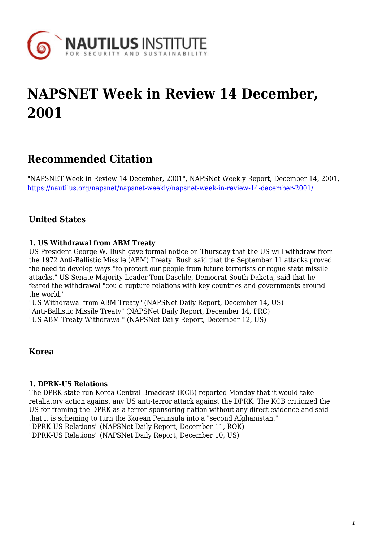

# **NAPSNET Week in Review 14 December, 2001**

## **Recommended Citation**

"NAPSNET Week in Review 14 December, 2001", NAPSNet Weekly Report, December 14, 2001, <https://nautilus.org/napsnet/napsnet-weekly/napsnet-week-in-review-14-december-2001/>

## **United States**

## **1. US Withdrawal from ABM Treaty**

US President George W. Bush gave formal notice on Thursday that the US will withdraw from the 1972 Anti-Ballistic Missile (ABM) Treaty. Bush said that the September 11 attacks proved the need to develop ways "to protect our people from future terrorists or rogue state missile attacks." US Senate Majority Leader Tom Daschle, Democrat-South Dakota, said that he feared the withdrawal "could rupture relations with key countries and governments around the world."

"US Withdrawal from ABM Treaty" (NAPSNet Daily Report, December 14, US) "Anti-Ballistic Missile Treaty" (NAPSNet Daily Report, December 14, PRC) "US ABM Treaty Withdrawal" (NAPSNet Daily Report, December 12, US)

## **Korea**

## **1. DPRK-US Relations**

The DPRK state-run Korea Central Broadcast (KCB) reported Monday that it would take retaliatory action against any US anti-terror attack against the DPRK. The KCB criticized the US for framing the DPRK as a terror-sponsoring nation without any direct evidence and said that it is scheming to turn the Korean Peninsula into a "second Afghanistan." "DPRK-US Relations" (NAPSNet Daily Report, December 11, ROK) "DPRK-US Relations" (NAPSNet Daily Report, December 10, US)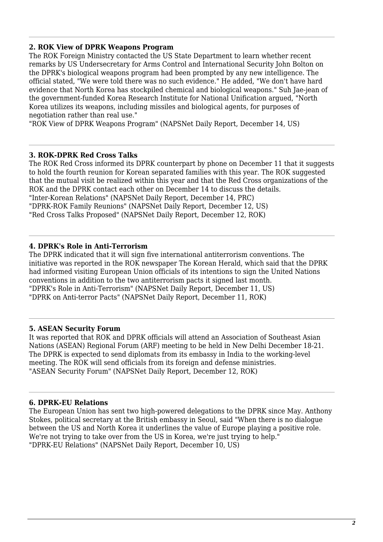## **2. ROK View of DPRK Weapons Program**

The ROK Foreign Ministry contacted the US State Department to learn whether recent remarks by US Undersecretary for Arms Control and International Security John Bolton on the DPRK's biological weapons program had been prompted by any new intelligence. The official stated, "We were told there was no such evidence." He added, "We don't have hard evidence that North Korea has stockpiled chemical and biological weapons." Suh Jae-jean of the government-funded Korea Research Institute for National Unification argued, "North Korea utilizes its weapons, including missiles and biological agents, for purposes of negotiation rather than real use."

"ROK View of DPRK Weapons Program" (NAPSNet Daily Report, December 14, US)

#### **3. ROK-DPRK Red Cross Talks**

The ROK Red Cross informed its DPRK counterpart by phone on December 11 that it suggests to hold the fourth reunion for Korean separated families with this year. The ROK suggested that the mutual visit be realized within this year and that the Red Cross organizations of the ROK and the DPRK contact each other on December 14 to discuss the details. "Inter-Korean Relations" (NAPSNet Daily Report, December 14, PRC) "DPRK-ROK Family Reunions" (NAPSNet Daily Report, December 12, US) "Red Cross Talks Proposed" (NAPSNet Daily Report, December 12, ROK)

## **4. DPRK's Role in Anti-Terrorism**

The DPRK indicated that it will sign five international antiterrorism conventions. The initiative was reported in the ROK newspaper The Korean Herald, which said that the DPRK had informed visiting European Union officials of its intentions to sign the United Nations conventions in addition to the two antiterrorism pacts it signed last month. "DPRK's Role in Anti-Terrorism" (NAPSNet Daily Report, December 11, US) "DPRK on Anti-terror Pacts" (NAPSNet Daily Report, December 11, ROK)

#### **5. ASEAN Security Forum**

It was reported that ROK and DPRK officials will attend an Association of Southeast Asian Nations (ASEAN) Regional Forum (ARF) meeting to be held in New Delhi December 18-21. The DPRK is expected to send diplomats from its embassy in India to the working-level meeting. The ROK will send officials from its foreign and defense ministries. "ASEAN Security Forum" (NAPSNet Daily Report, December 12, ROK)

## **6. DPRK-EU Relations**

The European Union has sent two high-powered delegations to the DPRK since May. Anthony Stokes, political secretary at the British embassy in Seoul, said "When there is no dialogue between the US and North Korea it underlines the value of Europe playing a positive role. We're not trying to take over from the US in Korea, we're just trying to help." "DPRK-EU Relations" (NAPSNet Daily Report, December 10, US)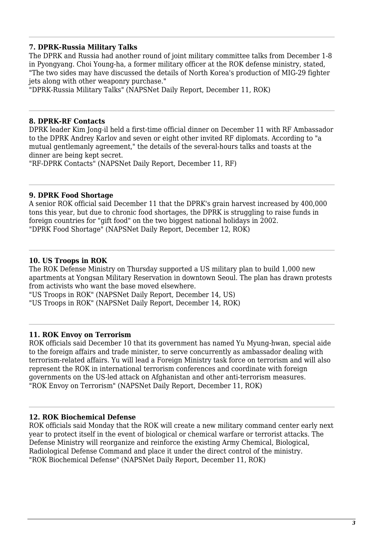## **7. DPRK-Russia Military Talks**

The DPRK and Russia had another round of joint military committee talks from December 1-8 in Pyongyang. Choi Young-ha, a former military officer at the ROK defense ministry, stated, "The two sides may have discussed the details of North Korea's production of MIG-29 fighter jets along with other weaponry purchase."

"DPRK-Russia Military Talks" (NAPSNet Daily Report, December 11, ROK)

#### **8. DPRK-RF Contacts**

DPRK leader Kim Jong-il held a first-time official dinner on December 11 with RF Ambassador to the DPRK Andrey Karlov and seven or eight other invited RF diplomats. According to "a mutual gentlemanly agreement," the details of the several-hours talks and toasts at the dinner are being kept secret.

"RF-DPRK Contacts" (NAPSNet Daily Report, December 11, RF)

#### **9. DPRK Food Shortage**

A senior ROK official said December 11 that the DPRK's grain harvest increased by 400,000 tons this year, but due to chronic food shortages, the DPRK is struggling to raise funds in foreign countries for "gift food" on the two biggest national holidays in 2002. "DPRK Food Shortage" (NAPSNet Daily Report, December 12, ROK)

### **10. US Troops in ROK**

The ROK Defense Ministry on Thursday supported a US military plan to build 1,000 new apartments at Yongsan Military Reservation in downtown Seoul. The plan has drawn protests from activists who want the base moved elsewhere.

"US Troops in ROK" (NAPSNet Daily Report, December 14, US)

"US Troops in ROK" (NAPSNet Daily Report, December 14, ROK)

#### **11. ROK Envoy on Terrorism**

ROK officials said December 10 that its government has named Yu Myung-hwan, special aide to the foreign affairs and trade minister, to serve concurrently as ambassador dealing with terrorism-related affairs. Yu will lead a Foreign Ministry task force on terrorism and will also represent the ROK in international terrorism conferences and coordinate with foreign governments on the US-led attack on Afghanistan and other anti-terrorism measures. "ROK Envoy on Terrorism" (NAPSNet Daily Report, December 11, ROK)

#### **12. ROK Biochemical Defense**

ROK officials said Monday that the ROK will create a new military command center early next year to protect itself in the event of biological or chemical warfare or terrorist attacks. The Defense Ministry will reorganize and reinforce the existing Army Chemical, Biological, Radiological Defense Command and place it under the direct control of the ministry. "ROK Biochemical Defense" (NAPSNet Daily Report, December 11, ROK)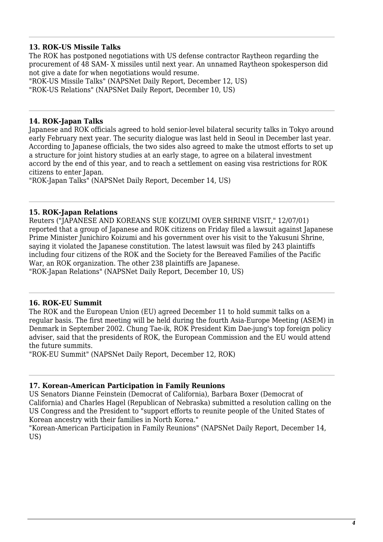## **13. ROK-US Missile Talks**

The ROK has postponed negotiations with US defense contractor Raytheon regarding the procurement of 48 SAM- X missiles until next year. An unnamed Raytheon spokesperson did not give a date for when negotiations would resume.

"ROK-US Missile Talks" (NAPSNet Daily Report, December 12, US)

"ROK-US Relations" (NAPSNet Daily Report, December 10, US)

## **14. ROK-Japan Talks**

Japanese and ROK officials agreed to hold senior-level bilateral security talks in Tokyo around early February next year. The security dialogue was last held in Seoul in December last year. According to Japanese officials, the two sides also agreed to make the utmost efforts to set up a structure for joint history studies at an early stage, to agree on a bilateral investment accord by the end of this year, and to reach a settlement on easing visa restrictions for ROK citizens to enter Japan.

"ROK-Japan Talks" (NAPSNet Daily Report, December 14, US)

## **15. ROK-Japan Relations**

Reuters ("JAPANESE AND KOREANS SUE KOIZUMI OVER SHRINE VISIT," 12/07/01) reported that a group of Japanese and ROK citizens on Friday filed a lawsuit against Japanese Prime Minister Junichiro Koizumi and his government over his visit to the Yakusuni Shrine, saying it violated the Japanese constitution. The latest lawsuit was filed by 243 plaintiffs including four citizens of the ROK and the Society for the Bereaved Families of the Pacific War, an ROK organization. The other 238 plaintiffs are Japanese. "ROK-Japan Relations" (NAPSNet Daily Report, December 10, US)

## **16. ROK-EU Summit**

The ROK and the European Union (EU) agreed December 11 to hold summit talks on a regular basis. The first meeting will be held during the fourth Asia-Europe Meeting (ASEM) in Denmark in September 2002. Chung Tae-ik, ROK President Kim Dae-jung's top foreign policy adviser, said that the presidents of ROK, the European Commission and the EU would attend the future summits.

"ROK-EU Summit" (NAPSNet Daily Report, December 12, ROK)

#### **17. Korean-American Participation in Family Reunions**

US Senators Dianne Feinstein (Democrat of California), Barbara Boxer (Democrat of California) and Charles Hagel (Republican of Nebraska) submitted a resolution calling on the US Congress and the President to "support efforts to reunite people of the United States of Korean ancestry with their families in North Korea."

"Korean-American Participation in Family Reunions" (NAPSNet Daily Report, December 14, US)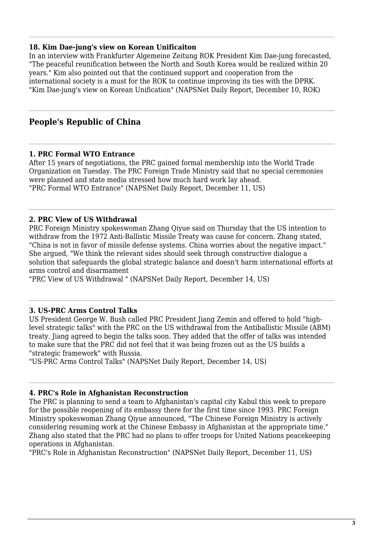## **18. Kim Dae-jung's view on Korean Unificaiton**

In an interview with Frankfurter Algemeine Zeitung ROK President Kim Dae-jung forecasted, "The peaceful reunification between the North and South Korea would be realized within 20 years." Kim also pointed out that the continued support and cooperation from the international society is a must for the ROK to continue improving its ties with the DPRK. "Kim Dae-jung's view on Korean Unification" (NAPSNet Daily Report, December 10, ROK)

## **People's Republic of China**

#### **1. PRC Formal WTO Entrance**

After 15 years of negotiations, the PRC gained formal membership into the World Trade Organization on Tuesday. The PRC Foreign Trade Ministry said that no special ceremonies were planned and state media stressed how much hard work lay ahead. "PRC Formal WTO Entrance" (NAPSNet Daily Report, December 11, US)

## **2. PRC View of US Withdrawal**

PRC Foreign Ministry spokeswoman Zhang Qiyue said on Thursday that the US intention to withdraw from the 1972 Anti-Ballistic Missile Treaty was cause for concern. Zhang stated, "China is not in favor of missile defense systems. China worries about the negative impact." She argued, "We think the relevant sides should seek through constructive dialogue a solution that safeguards the global strategic balance and doesn't harm international efforts at arms control and disarmament

"PRC View of US Withdrawal " (NAPSNet Daily Report, December 14, US)

#### **3. US-PRC Arms Control Talks**

US President George W. Bush called PRC President Jiang Zemin and offered to hold "highlevel strategic talks" with the PRC on the US withdrawal from the Antiballistic Missile (ABM) treaty. Jiang agreed to begin the talks soon. They added that the offer of talks was intended to make sure that the PRC did not feel that it was being frozen out as the US builds a "strategic framework" with Russia.

"US-PRC Arms Control Talks" (NAPSNet Daily Report, December 14, US)

#### **4. PRC's Role in Afghanistan Reconstruction**

The PRC is planning to send a team to Afghanistan's capital city Kabul this week to prepare for the possible reopening of its embassy there for the first time since 1993. PRC Foreign Ministry spokeswoman Zhang Qiyue announced, "The Chinese Foreign Ministry is actively considering resuming work at the Chinese Embassy in Afghanistan at the appropriate time." Zhang also stated that the PRC had no plans to offer troops for United Nations peacekeeping operations in Afghanistan.

"PRC's Role in Afghanistan Reconstruction" (NAPSNet Daily Report, December 11, US)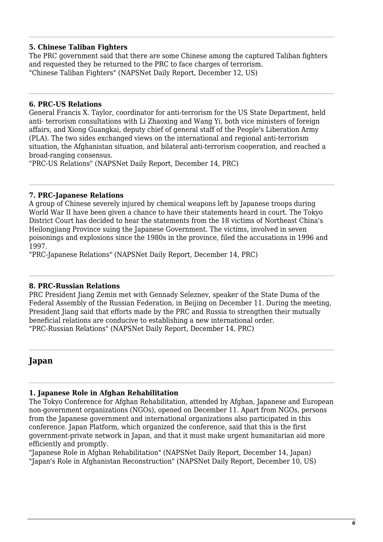## **5. Chinese Taliban Fighters**

The PRC government said that there are some Chinese among the captured Taliban fighters and requested they be returned to the PRC to face charges of terrorism. "Chinese Taliban Fighters" (NAPSNet Daily Report, December 12, US)

## **6. PRC-US Relations**

General Francis X. Taylor, coordinator for anti-terrorism for the US State Department, held anti- terrorism consultations with Li Zhaoxing and Wang Yi, both vice ministers of foreign affairs, and Xiong Guangkai, deputy chief of general staff of the People's Liberation Army (PLA). The two sides exchanged views on the international and regional anti-terrorism situation, the Afghanistan situation, and bilateral anti-terrorism cooperation, and reached a broad-ranging consensus.

"PRC-US Relations" (NAPSNet Daily Report, December 14, PRC)

## **7. PRC-Japanese Relations**

A group of Chinese severely injured by chemical weapons left by Japanese troops during World War II have been given a chance to have their statements heard in court. The Tokyo District Court has decided to hear the statements from the 18 victims of Northeast China's Heilongjiang Province suing the Japanese Government. The victims, involved in seven poisonings and explosions since the 1980s in the province, filed the accusations in 1996 and 1997.

"PRC-Japanese Relations" (NAPSNet Daily Report, December 14, PRC)

## **8. PRC-Russian Relations**

PRC President Jiang Zemin met with Gennady Seleznev, speaker of the State Duma of the Federal Assembly of the Russian Federation, in Beijing on December 11. During the meeting, President Jiang said that efforts made by the PRC and Russia to strengthen their mutually beneficial relations are conducive to establishing a new international order. "PRC-Russian Relations" (NAPSNet Daily Report, December 14, PRC)

## **Japan**

## **1. Japanese Role in Afghan Rehabilitation**

The Tokyo Conference for Afghan Rehabilitation, attended by Afghan, Japanese and European non-government organizations (NGOs), opened on December 11. Apart from NGOs, persons from the Japanese government and international organizations also participated in this conference. Japan Platform, which organized the conference, said that this is the first government-private network in Japan, and that it must make urgent humanitarian aid more efficiently and promptly.

"Japanese Role in Afghan Rehabilitation" (NAPSNet Daily Report, December 14, Japan) "Japan's Role in Afghanistan Reconstruction" (NAPSNet Daily Report, December 10, US)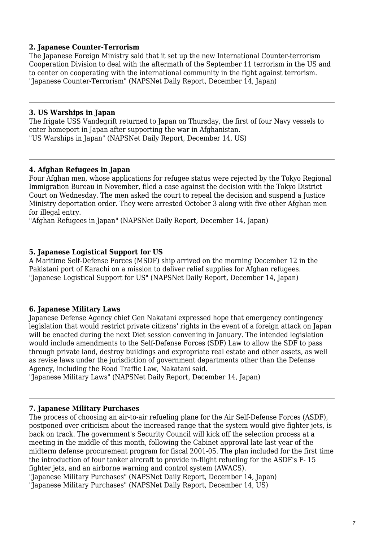## **2. Japanese Counter-Terrorism**

The Japanese Foreign Ministry said that it set up the new International Counter-terrorism Cooperation Division to deal with the aftermath of the September 11 terrorism in the US and to center on cooperating with the international community in the fight against terrorism. "Japanese Counter-Terrorism" (NAPSNet Daily Report, December 14, Japan)

## **3. US Warships in Japan**

The frigate USS Vandegrift returned to Japan on Thursday, the first of four Navy vessels to enter homeport in Japan after supporting the war in Afghanistan. "US Warships in Japan" (NAPSNet Daily Report, December 14, US)

## **4. Afghan Refugees in Japan**

Four Afghan men, whose applications for refugee status were rejected by the Tokyo Regional Immigration Bureau in November, filed a case against the decision with the Tokyo District Court on Wednesday. The men asked the court to repeal the decision and suspend a Justice Ministry deportation order. They were arrested October 3 along with five other Afghan men for illegal entry.

"Afghan Refugees in Japan" (NAPSNet Daily Report, December 14, Japan)

## **5. Japanese Logistical Support for US**

A Maritime Self-Defense Forces (MSDF) ship arrived on the morning December 12 in the Pakistani port of Karachi on a mission to deliver relief supplies for Afghan refugees. "Japanese Logistical Support for US" (NAPSNet Daily Report, December 14, Japan)

## **6. Japanese Military Laws**

Japanese Defense Agency chief Gen Nakatani expressed hope that emergency contingency legislation that would restrict private citizens' rights in the event of a foreign attack on Japan will be enacted during the next Diet session convening in January. The intended legislation would include amendments to the Self-Defense Forces (SDF) Law to allow the SDF to pass through private land, destroy buildings and expropriate real estate and other assets, as well as revise laws under the jurisdiction of government departments other than the Defense Agency, including the Road Traffic Law, Nakatani said.

"Japanese Military Laws" (NAPSNet Daily Report, December 14, Japan)

## **7. Japanese Military Purchases**

The process of choosing an air-to-air refueling plane for the Air Self-Defense Forces (ASDF), postponed over criticism about the increased range that the system would give fighter jets, is back on track. The government's Security Council will kick off the selection process at a meeting in the middle of this month, following the Cabinet approval late last year of the midterm defense procurement program for fiscal 2001-05. The plan included for the first time the introduction of four tanker aircraft to provide in-flight refueling for the ASDF's F- 15 fighter jets, and an airborne warning and control system (AWACS).

"Japanese Military Purchases" (NAPSNet Daily Report, December 14, Japan) "Japanese Military Purchases" (NAPSNet Daily Report, December 14, US)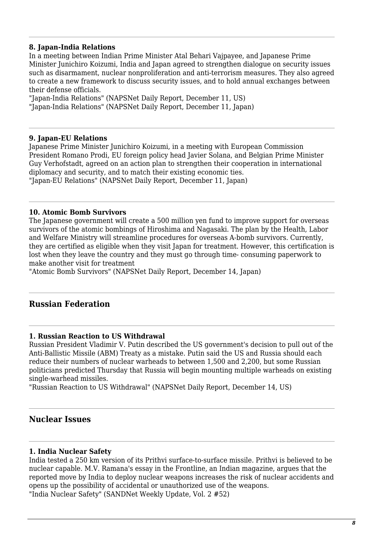## **8. Japan-India Relations**

In a meeting between Indian Prime Minister Atal Behari Vajpayee, and Japanese Prime Minister Junichiro Koizumi, India and Japan agreed to strengthen dialogue on security issues such as disarmament, nuclear nonproliferation and anti-terrorism measures. They also agreed to create a new framework to discuss security issues, and to hold annual exchanges between their defense officials.

"Japan-India Relations" (NAPSNet Daily Report, December 11, US) "Japan-India Relations" (NAPSNet Daily Report, December 11, Japan)

#### **9. Japan-EU Relations**

Japanese Prime Minister Junichiro Koizumi, in a meeting with European Commission President Romano Prodi, EU foreign policy head Javier Solana, and Belgian Prime Minister Guy Verhofstadt, agreed on an action plan to strengthen their cooperation in international diplomacy and security, and to match their existing economic ties. "Japan-EU Relations" (NAPSNet Daily Report, December 11, Japan)

## **10. Atomic Bomb Survivors**

The Japanese government will create a 500 million yen fund to improve support for overseas survivors of the atomic bombings of Hiroshima and Nagasaki. The plan by the Health, Labor and Welfare Ministry will streamline procedures for overseas A-bomb survivors. Currently, they are certified as eligible when they visit Japan for treatment. However, this certification is lost when they leave the country and they must go through time- consuming paperwork to make another visit for treatment

"Atomic Bomb Survivors" (NAPSNet Daily Report, December 14, Japan)

## **Russian Federation**

#### **1. Russian Reaction to US Withdrawal**

Russian President Vladimir V. Putin described the US government's decision to pull out of the Anti-Ballistic Missile (ABM) Treaty as a mistake. Putin said the US and Russia should each reduce their numbers of nuclear warheads to between 1,500 and 2,200, but some Russian politicians predicted Thursday that Russia will begin mounting multiple warheads on existing single-warhead missiles.

"Russian Reaction to US Withdrawal" (NAPSNet Daily Report, December 14, US)

## **Nuclear Issues**

#### **1. India Nuclear Safety**

India tested a 250 km version of its Prithvi surface-to-surface missile. Prithvi is believed to be nuclear capable. M.V. Ramana's essay in the Frontline, an Indian magazine, argues that the reported move by India to deploy nuclear weapons increases the risk of nuclear accidents and opens up the possibility of accidental or unauthorized use of the weapons. "India Nuclear Safety" (SANDNet Weekly Update, Vol. 2 #52)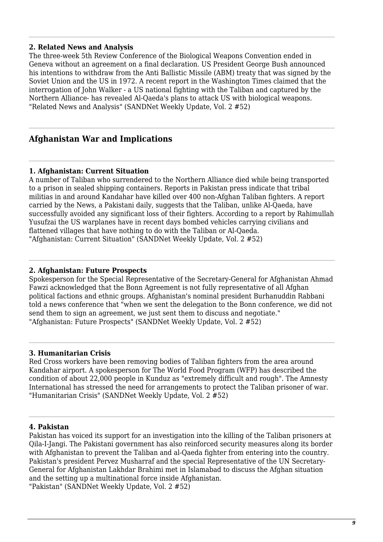## **2. Related News and Analysis**

The three-week 5th Review Conference of the Biological Weapons Convention ended in Geneva without an agreement on a final declaration. US President George Bush announced his intentions to withdraw from the Anti Ballistic Missile (ABM) treaty that was signed by the Soviet Union and the US in 1972. A recent report in the Washington Times claimed that the interrogation of John Walker - a US national fighting with the Taliban and captured by the Northern Alliance- has revealed Al-Qaeda's plans to attack US with biological weapons. "Related News and Analysis" (SANDNet Weekly Update, Vol. 2 #52)

## **Afghanistan War and Implications**

#### **1. Afghanistan: Current Situation**

A number of Taliban who surrendered to the Northern Alliance died while being transported to a prison in sealed shipping containers. Reports in Pakistan press indicate that tribal militias in and around Kandahar have killed over 400 non-Afghan Taliban fighters. A report carried by the News, a Pakistani daily, suggests that the Taliban, unlike Al-Qaeda, have successfully avoided any significant loss of their fighters. According to a report by Rahimullah Yusufzai the US warplanes have in recent days bombed vehicles carrying civilians and flattened villages that have nothing to do with the Taliban or Al-Qaeda. "Afghanistan: Current Situation" (SANDNet Weekly Update, Vol. 2 #52)

#### **2. Afghanistan: Future Prospects**

Spokesperson for the Special Representative of the Secretary-General for Afghanistan Ahmad Fawzi acknowledged that the Bonn Agreement is not fully representative of all Afghan political factions and ethnic groups. Afghanistan's nominal president Burhanuddin Rabbani told a news conference that "when we sent the delegation to the Bonn conference, we did not send them to sign an agreement, we just sent them to discuss and negotiate." "Afghanistan: Future Prospects" (SANDNet Weekly Update, Vol. 2 #52)

#### **3. Humanitarian Crisis**

Red Cross workers have been removing bodies of Taliban fighters from the area around Kandahar airport. A spokesperson for The World Food Program (WFP) has described the condition of about 22,000 people in Kunduz as "extremely difficult and rough". The Amnesty International has stressed the need for arrangements to protect the Taliban prisoner of war. "Humanitarian Crisis" (SANDNet Weekly Update, Vol. 2 #52)

#### **4. Pakistan**

Pakistan has voiced its support for an investigation into the killing of the Taliban prisoners at Qila-I-Jangi. The Pakistani government has also reinforced security measures along its border with Afghanistan to prevent the Taliban and al-Qaeda fighter from entering into the country. Pakistan's president Pervez Musharraf and the special Representative of the UN Secretary-General for Afghanistan Lakhdar Brahimi met in Islamabad to discuss the Afghan situation and the setting up a multinational force inside Afghanistan.

"Pakistan" (SANDNet Weekly Update, Vol. 2 #52)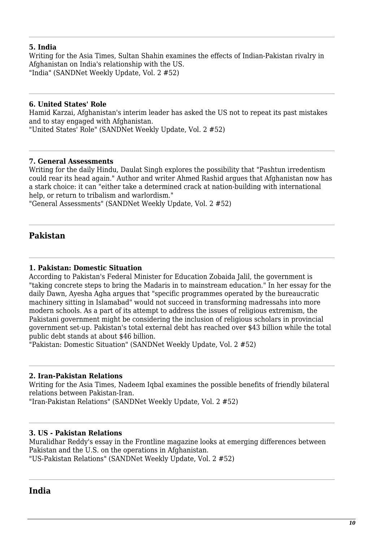## **5. India**

Writing for the Asia Times, Sultan Shahin examines the effects of Indian-Pakistan rivalry in Afghanistan on India's relationship with the US. "India" (SANDNet Weekly Update, Vol. 2 #52)

### **6. United States' Role**

Hamid Karzai, Afghanistan's interim leader has asked the US not to repeat its past mistakes and to stay engaged with Afghanistan. "United States' Role" (SANDNet Weekly Update, Vol. 2 #52)

#### **7. General Assessments**

Writing for the daily Hindu, Daulat Singh explores the possibility that "Pashtun irredentism could rear its head again." Author and writer Ahmed Rashid argues that Afghanistan now has a stark choice: it can "either take a determined crack at nation-building with international help, or return to tribalism and warlordism."

"General Assessments" (SANDNet Weekly Update, Vol. 2 #52)

## **Pakistan**

### **1. Pakistan: Domestic Situation**

According to Pakistan's Federal Minister for Education Zobaida Jalil, the government is "taking concrete steps to bring the Madaris in to mainstream education." In her essay for the daily Dawn, Ayesha Agha argues that "specific programmes operated by the bureaucratic machinery sitting in Islamabad" would not succeed in transforming madressahs into more modern schools. As a part of its attempt to address the issues of religious extremism, the Pakistani government might be considering the inclusion of religious scholars in provincial government set-up. Pakistan's total external debt has reached over \$43 billion while the total public debt stands at about \$46 billion.

"Pakistan: Domestic Situation" (SANDNet Weekly Update, Vol. 2 #52)

#### **2. Iran-Pakistan Relations**

Writing for the Asia Times, Nadeem Iqbal examines the possible benefits of friendly bilateral relations between Pakistan-Iran.

"Iran-Pakistan Relations" (SANDNet Weekly Update, Vol. 2 #52)

#### **3. US - Pakistan Relations**

Muralidhar Reddy's essay in the Frontline magazine looks at emerging differences between Pakistan and the U.S. on the operations in Afghanistan. "US-Pakistan Relations" (SANDNet Weekly Update, Vol. 2 #52)

## **India**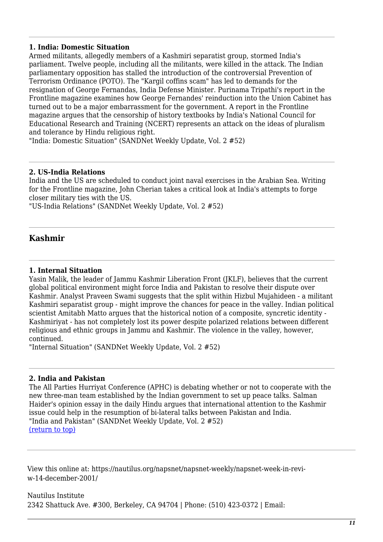## **1. India: Domestic Situation**

Armed militants, allegedly members of a Kashmiri separatist group, stormed India's parliament. Twelve people, including all the militants, were killed in the attack. The Indian parliamentary opposition has stalled the introduction of the controversial Prevention of Terrorism Ordinance (POTO). The "Kargil coffins scam" has led to demands for the resignation of George Fernandas, India Defense Minister. Purinama Tripathi's report in the Frontline magazine examines how George Fernandes' reinduction into the Union Cabinet has turned out to be a major embarrassment for the government. A report in the Frontline magazine argues that the censorship of history textbooks by India's National Council for Educational Research and Training (NCERT) represents an attack on the ideas of pluralism and tolerance by Hindu religious right.

"India: Domestic Situation" (SANDNet Weekly Update, Vol. 2 #52)

#### **2. US-India Relations**

India and the US are scheduled to conduct joint naval exercises in the Arabian Sea. Writing for the Frontline magazine, John Cherian takes a critical look at India's attempts to forge closer military ties with the US.

"US-India Relations" (SANDNet Weekly Update, Vol. 2 #52)

## **Kashmir**

#### **1. Internal Situation**

Yasin Malik, the leader of Jammu Kashmir Liberation Front (JKLF), believes that the current global political environment might force India and Pakistan to resolve their dispute over Kashmir. Analyst Praveen Swami suggests that the split within Hizbul Mujahideen - a militant Kashmiri separatist group - might improve the chances for peace in the valley. Indian political scientist Amitabh Matto argues that the historical notion of a composite, syncretic identity - Kashmiriyat - has not completely lost its power despite polarized relations between different religious and ethnic groups in Jammu and Kashmir. The violence in the valley, however, continued.

"Internal Situation" (SANDNet Weekly Update, Vol. 2 #52)

#### **2. India and Pakistan**

The All Parties Hurriyat Conference (APHC) is debating whether or not to cooperate with the new three-man team established by the Indian government to set up peace talks. Salman Haider's opinion essay in the daily Hindu argues that international attention to the Kashmir issue could help in the resumption of bi-lateral talks between Pakistan and India. "India and Pakistan" (SANDNet Weekly Update, Vol. 2 #52) [\(return to top\)](#page--1-0)

View this online at: https://nautilus.org/napsnet/napsnet-weekly/napsnet-week-in-reviw-14-december-2001/

Nautilus Institute 2342 Shattuck Ave. #300, Berkeley, CA 94704 | Phone: (510) 423-0372 | Email: